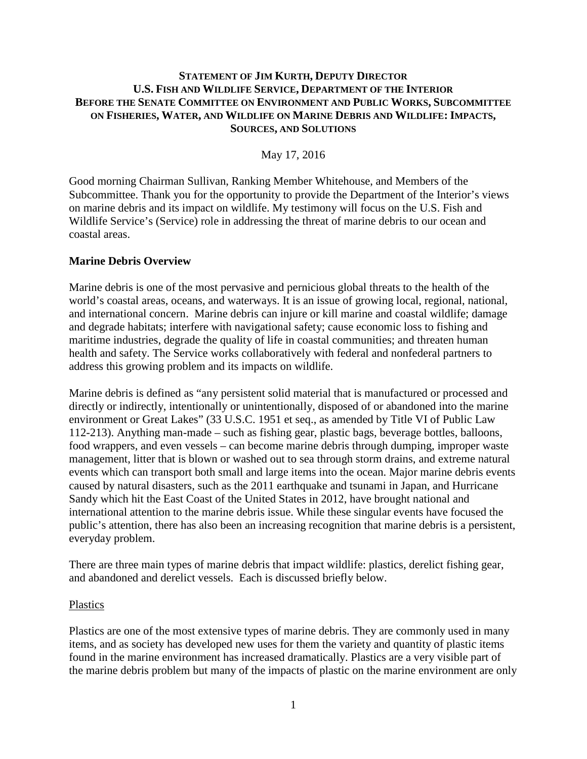## **STATEMENT OF JIM KURTH, DEPUTY DIRECTOR U.S. FISH AND WILDLIFE SERVICE, DEPARTMENT OF THE INTERIOR BEFORE THE SENATE COMMITTEE ON ENVIRONMENT AND PUBLIC WORKS, SUBCOMMITTEE ON FISHERIES, WATER, AND WILDLIFE ON MARINE DEBRIS AND WILDLIFE: IMPACTS, SOURCES, AND SOLUTIONS**

May 17, 2016

Good morning Chairman Sullivan, Ranking Member Whitehouse, and Members of the Subcommittee. Thank you for the opportunity to provide the Department of the Interior's views on marine debris and its impact on wildlife. My testimony will focus on the U.S. Fish and Wildlife Service's (Service) role in addressing the threat of marine debris to our ocean and coastal areas.

### **Marine Debris Overview**

Marine debris is one of the most pervasive and pernicious global threats to the health of the world's coastal areas, oceans, and waterways. It is an issue of growing local, regional, national, and international concern. Marine debris can injure or kill marine and coastal wildlife; damage and degrade habitats; interfere with navigational safety; cause economic loss to fishing and maritime industries, degrade the quality of life in coastal communities; and threaten human health and safety. The Service works collaboratively with federal and nonfederal partners to address this growing problem and its impacts on wildlife.

Marine debris is defined as "any persistent solid material that is manufactured or processed and directly or indirectly, intentionally or unintentionally, disposed of or abandoned into the marine environment or Great Lakes" (33 U.S.C. 1951 et seq., as amended by Title VI of Public Law 112-213). Anything man-made – such as fishing gear, plastic bags, beverage bottles, balloons, food wrappers, and even vessels – can become marine debris through dumping, improper waste management, litter that is blown or washed out to sea through storm drains, and extreme natural events which can transport both small and large items into the ocean. Major marine debris events caused by natural disasters, such as the 2011 earthquake and tsunami in Japan, and Hurricane Sandy which hit the East Coast of the United States in 2012, have brought national and international attention to the marine debris issue. While these singular events have focused the public's attention, there has also been an increasing recognition that marine debris is a persistent, everyday problem.

There are three main types of marine debris that impact wildlife: plastics, derelict fishing gear, and abandoned and derelict vessels. Each is discussed briefly below.

#### Plastics

Plastics are one of the most extensive types of marine debris. They are commonly used in many items, and as society has developed new uses for them the variety and quantity of plastic items found in the marine environment has increased dramatically. Plastics are a very visible part of the marine debris problem but many of the impacts of plastic on the marine environment are only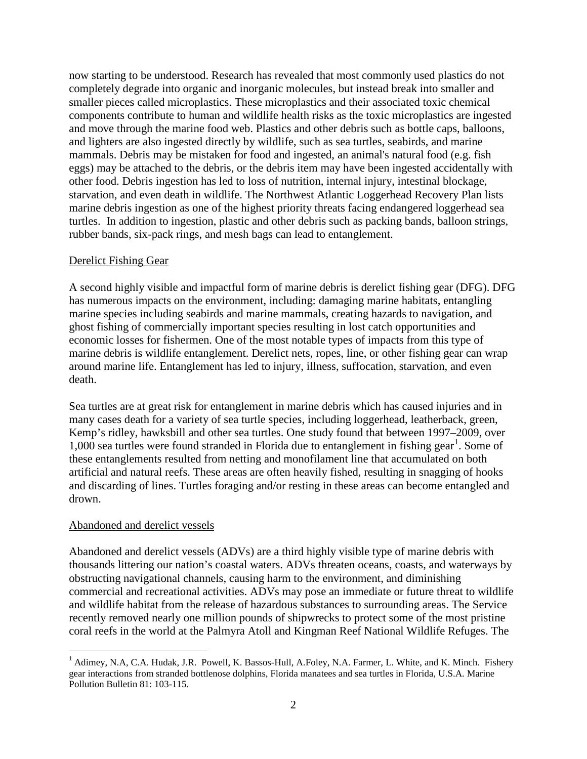now starting to be understood. Research has revealed that most commonly used plastics do not completely degrade into organic and inorganic molecules, but instead break into smaller and smaller pieces called microplastics. These microplastics and their associated toxic chemical components contribute to human and wildlife health risks as the toxic microplastics are ingested and move through the marine food web. Plastics and other debris such as bottle caps, balloons, and lighters are also ingested directly by wildlife, such as sea turtles, seabirds, and marine mammals. Debris may be mistaken for food and ingested, an animal's natural food (e.g. fish eggs) may be attached to the debris, or the debris item may have been ingested accidentally with other food. Debris ingestion has led to loss of nutrition, internal injury, intestinal blockage, starvation, and even death in wildlife. The Northwest Atlantic Loggerhead Recovery Plan lists marine debris ingestion as one of the highest priority threats facing endangered loggerhead sea turtles. In addition to ingestion, plastic and other debris such as packing bands, balloon strings, rubber bands, six-pack rings, and mesh bags can lead to entanglement.

### Derelict Fishing Gear

A second highly visible and impactful form of marine debris is derelict fishing gear (DFG). DFG has numerous impacts on the environment, including: damaging marine habitats, entangling marine species including seabirds and marine mammals, creating hazards to navigation, and ghost fishing of commercially important species resulting in lost catch opportunities and economic losses for fishermen. One of the most notable types of impacts from this type of marine debris is wildlife entanglement. Derelict nets, ropes, line, or other fishing gear can wrap around marine life. Entanglement has led to injury, illness, suffocation, starvation, and even death.

Sea turtles are at great risk for entanglement in marine debris which has caused injuries and in many cases death for a variety of sea turtle species, including loggerhead, leatherback, green, Kemp's ridley, hawksbill and other sea turtles. One study found that between 1997–2009, over [1](#page-1-0),000 sea turtles were found stranded in Florida due to entanglement in fishing gear<sup>1</sup>. Some of these entanglements resulted from netting and monofilament line that accumulated on both artificial and natural reefs. These areas are often heavily fished, resulting in snagging of hooks and discarding of lines. Turtles foraging and/or resting in these areas can become entangled and drown.

# Abandoned and derelict vessels

Abandoned and derelict vessels (ADVs) are a third highly visible type of marine debris with thousands littering our nation's coastal waters. ADVs threaten oceans, coasts, and waterways by obstructing navigational channels, causing harm to the environment, and diminishing commercial and recreational activities. ADVs may pose an immediate or future threat to wildlife and wildlife habitat from the release of hazardous substances to surrounding areas. The Service recently removed nearly one million pounds of shipwrecks to protect some of the most pristine coral reefs in the world at the Palmyra Atoll and Kingman Reef National Wildlife Refuges. The

<span id="page-1-0"></span><sup>&</sup>lt;sup>1</sup> Adimey, N.A, C.A. Hudak, J.R. Powell, K. Bassos-Hull, A.Foley, N.A. Farmer, L. White, and K. Minch. Fishery gear interactions from stranded bottlenose dolphins, Florida manatees and sea turtles in Florida, U.S.A. Marine Pollution Bulletin 81: 103-115.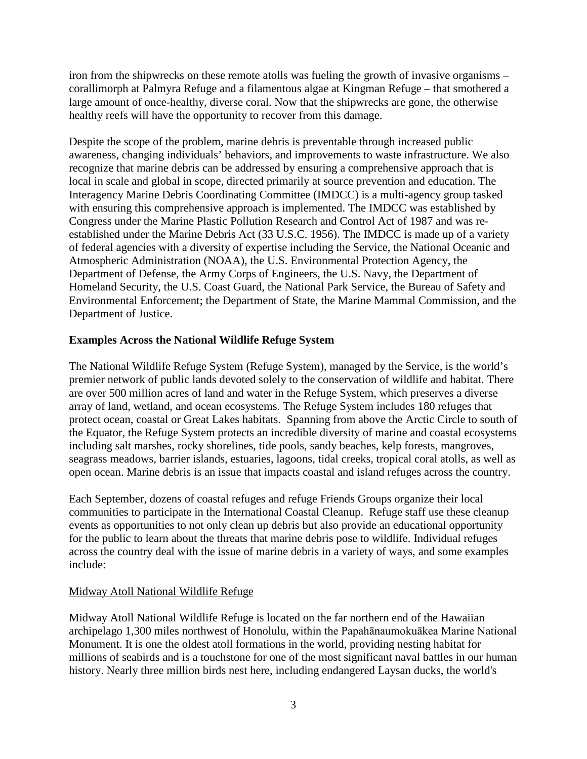iron from the shipwrecks on these remote atolls was fueling the growth of invasive organisms – corallimorph at Palmyra Refuge and a filamentous algae at Kingman Refuge – that smothered a large amount of once-healthy, diverse coral. Now that the shipwrecks are gone, the otherwise healthy reefs will have the opportunity to recover from this damage.

Despite the scope of the problem, marine debris is preventable through increased public awareness, changing individuals' behaviors, and improvements to waste infrastructure. We also recognize that marine debris can be addressed by ensuring a comprehensive approach that is local in scale and global in scope, directed primarily at source prevention and education. The Interagency Marine Debris Coordinating Committee (IMDCC) is a multi-agency group tasked with ensuring this comprehensive approach is implemented. The IMDCC was established by Congress under the Marine Plastic Pollution Research and Control Act of 1987 and was reestablished under the Marine Debris Act (33 U.S.C. 1956). The IMDCC is made up of a variety of federal agencies with a diversity of expertise including the Service, the National Oceanic and Atmospheric Administration (NOAA), the U.S. Environmental Protection Agency, the Department of Defense, the Army Corps of Engineers, the U.S. Navy, the Department of Homeland Security, the U.S. Coast Guard, the National Park Service, the Bureau of Safety and Environmental Enforcement; the Department of State, the Marine Mammal Commission, and the Department of Justice.

## **Examples Across the National Wildlife Refuge System**

The National Wildlife Refuge System (Refuge System), managed by the Service, is the world's premier network of public lands devoted solely to the conservation of wildlife and habitat. There are over 500 million acres of land and water in the Refuge System, which preserves a diverse array of land, wetland, and ocean ecosystems. The Refuge System includes 180 refuges that protect ocean, coastal or Great Lakes habitats. Spanning from above the Arctic Circle to south of the Equator, the Refuge System protects an incredible diversity of marine and coastal ecosystems including salt marshes, rocky shorelines, tide pools, sandy beaches, kelp forests, mangroves, seagrass meadows, barrier islands, estuaries, lagoons, tidal creeks, tropical coral atolls, as well as open ocean. Marine debris is an issue that impacts coastal and island refuges across the country.

Each September, dozens of coastal refuges and refuge Friends Groups organize their local communities to participate in the International Coastal Cleanup. Refuge staff use these cleanup events as opportunities to not only clean up debris but also provide an educational opportunity for the public to learn about the threats that marine debris pose to wildlife. Individual refuges across the country deal with the issue of marine debris in a variety of ways, and some examples include:

# Midway Atoll National Wildlife Refuge

Midway Atoll National Wildlife Refuge is located on the far northern end of the Hawaiian archipelago 1,300 miles northwest of Honolulu, within the Papahānaumokuākea Marine National Monument. It is one the oldest atoll formations in the world, providing nesting habitat for millions of seabirds and is a touchstone for one of the most significant naval battles in our human history. Nearly three million birds nest here, including endangered Laysan ducks, the world's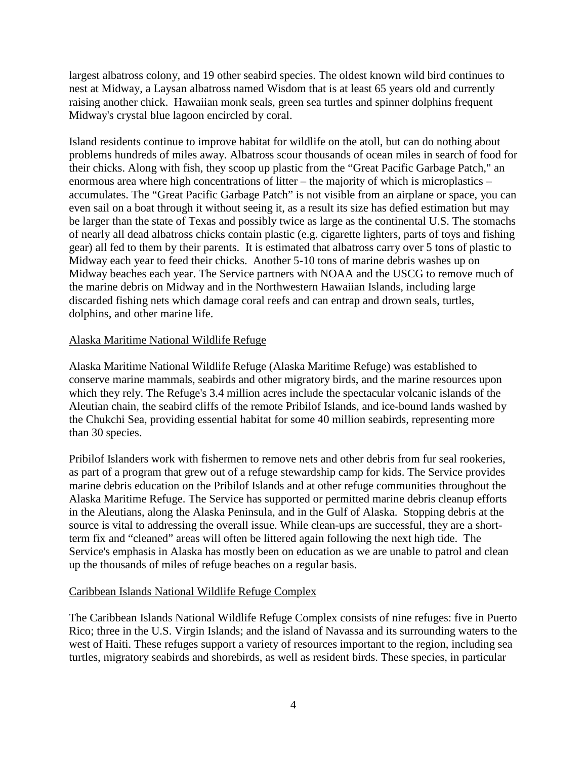largest albatross colony, and 19 other seabird species. The oldest known wild bird continues to nest at Midway, a Laysan albatross named Wisdom that is at least 65 years old and currently raising another chick. Hawaiian monk seals, green sea turtles and spinner dolphins frequent Midway's crystal blue lagoon encircled by coral.

Island residents continue to improve habitat for wildlife on the atoll, but can do nothing about problems hundreds of miles away. Albatross scour thousands of ocean miles in search of food for their chicks. Along with fish, they scoop up plastic from the "Great Pacific Garbage Patch," an enormous area where high concentrations of litter – the majority of which is microplastics – accumulates. The "Great Pacific Garbage Patch" is not visible from an airplane or space, you can even sail on a boat through it without seeing it, as a result its size has defied estimation but may be larger than the state of Texas and possibly twice as large as the continental U.S. The stomachs of nearly all dead albatross chicks contain plastic (e.g. cigarette lighters, parts of toys and fishing gear) all fed to them by their parents. It is estimated that albatross carry over 5 tons of plastic to Midway each year to feed their chicks. Another 5-10 tons of marine debris washes up on Midway beaches each year. The Service partners with NOAA and the USCG to remove much of the marine debris on Midway and in the Northwestern Hawaiian Islands, including large discarded fishing nets which damage coral reefs and can entrap and drown seals, turtles, dolphins, and other marine life.

## Alaska Maritime National Wildlife Refuge

Alaska Maritime National Wildlife Refuge (Alaska Maritime Refuge) was established to conserve marine mammals, seabirds and other migratory birds, and the marine resources upon which they rely. The Refuge's 3.4 million acres include the spectacular volcanic islands of the Aleutian chain, the seabird cliffs of the remote Pribilof Islands, and ice-bound lands washed by the Chukchi Sea, providing essential habitat for some 40 million seabirds, representing more than 30 species.

Pribilof Islanders work with fishermen to remove nets and other debris from fur seal rookeries, as part of a program that grew out of a refuge stewardship camp for kids. The Service provides marine debris education on the Pribilof Islands and at other refuge communities throughout the Alaska Maritime Refuge. The Service has supported or permitted marine debris cleanup efforts in the Aleutians, along the Alaska Peninsula, and in the Gulf of Alaska. Stopping debris at the source is vital to addressing the overall issue. While clean-ups are successful, they are a shortterm fix and "cleaned" areas will often be littered again following the next high tide. The Service's emphasis in Alaska has mostly been on education as we are unable to patrol and clean up the thousands of miles of refuge beaches on a regular basis.

### Caribbean Islands National Wildlife Refuge Complex

The Caribbean Islands National Wildlife Refuge Complex consists of nine refuges: five in Puerto Rico; three in the U.S. Virgin Islands; and the island of Navassa and its surrounding waters to the west of Haiti. These refuges support a variety of resources important to the region, including sea turtles, migratory seabirds and shorebirds, as well as resident birds. These species, in particular